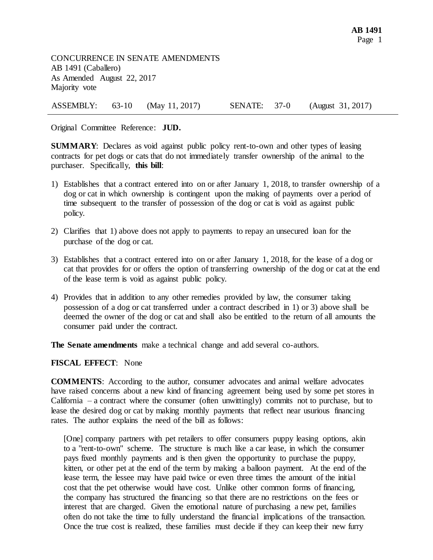CONCURRENCE IN SENATE AMENDMENTS AB 1491 (Caballero) As Amended August 22, 2017 Majority vote

ASSEMBLY: 63-10 (May 11, 2017) SENATE: 37-0 (August 31, 2017)

Original Committee Reference: **JUD.**

**SUMMARY**: Declares as void against public policy rent-to-own and other types of leasing contracts for pet dogs or cats that do not immediately transfer ownership of the animal to the purchaser. Specifically, **this bill**:

- 1) Establishes that a contract entered into on or after January 1, 2018, to transfer ownership of a dog or cat in which ownership is contingent upon the making of payments over a period of time subsequent to the transfer of possession of the dog or cat is void as against public policy.
- 2) Clarifies that 1) above does not apply to payments to repay an unsecured loan for the purchase of the dog or cat.
- 3) Establishes that a contract entered into on or after January 1, 2018, for the lease of a dog or cat that provides for or offers the option of transferring ownership of the dog or cat at the end of the lease term is void as against public policy.
- 4) Provides that in addition to any other remedies provided by law, the consumer taking possession of a dog or cat transferred under a contract described in 1) or 3) above shall be deemed the owner of the dog or cat and shall also be entitled to the return of all amounts the consumer paid under the contract.

**The Senate amendments** make a technical change and add several co-authors.

## **FISCAL EFFECT**: None

**COMMENTS**: According to the author, consumer advocates and animal welfare advocates have raised concerns about a new kind of financing agreement being used by some pet stores in California – a contract where the consumer (often unwittingly) commits not to purchase, but to lease the desired dog or cat by making monthly payments that reflect near usurious financing rates. The author explains the need of the bill as follows:

[One] company partners with pet retailers to offer consumers puppy leasing options, akin to a "rent-to-own" scheme. The structure is much like a car lease, in which the consumer pays fixed monthly payments and is then given the opportunity to purchase the puppy, kitten, or other pet at the end of the term by making a balloon payment. At the end of the lease term, the lessee may have paid twice or even three times the amount of the initial cost that the pet otherwise would have cost. Unlike other common forms of financing, the company has structured the financing so that there are no restrictions on the fees or interest that are charged. Given the emotional nature of purchasing a new pet, families often do not take the time to fully understand the financial implications of the transaction. Once the true cost is realized, these families must decide if they can keep their new furry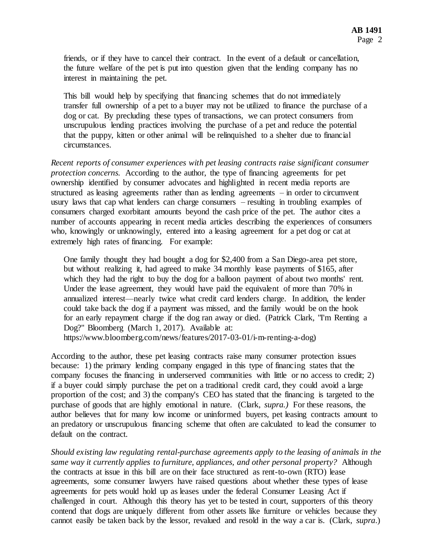friends, or if they have to cancel their contract. In the event of a default or cancellation, the future welfare of the pet is put into question given that the lending company has no interest in maintaining the pet.

This bill would help by specifying that financing schemes that do not immediately transfer full ownership of a pet to a buyer may not be utilized to finance the purchase of a dog or cat. By precluding these types of transactions, we can protect consumers from unscrupulous lending practices involving the purchase of a pet and reduce the potential that the puppy, kitten or other animal will be relinquished to a shelter due to financial circumstances.

*Recent reports of consumer experiences with pet leasing contracts raise significant consumer protection concerns.* According to the author, the type of financing agreements for pet ownership identified by consumer advocates and highlighted in recent media reports are structured as leasing agreements rather than as lending agreements – in order to circumvent usury laws that cap what lenders can charge consumers – resulting in troubling examples of consumers charged exorbitant amounts beyond the cash price of the pet. The author cites a number of accounts appearing in recent media articles describing the experiences of consumers who, knowingly or unknowingly, entered into a leasing agreement for a pet dog or cat at extremely high rates of financing. For example:

One family thought they had bought a dog for \$2,400 from a San Diego-area pet store, but without realizing it, had agreed to make 34 monthly lease payments of \$165, after which they had the right to buy the dog for a balloon payment of about two months' rent. Under the lease agreement, they would have paid the equivalent of more than 70% in annualized interest—nearly twice what credit card lenders charge. In addition, the lender could take back the dog if a payment was missed, and the family would be on the hook for an early repayment charge if the dog ran away or died. (Patrick Clark, "I'm Renting a Dog?" Bloomberg (March 1, 2017). Available at:

https://www.bloomberg.com/news/features/2017-03-01/i-m-renting-a-dog)

According to the author, these pet leasing contracts raise many consumer protection issues because: 1) the primary lending company engaged in this type of financing states that the company focuses the financing in underserved communities with little or no access to credit; 2) if a buyer could simply purchase the pet on a traditional credit card, they could avoid a large proportion of the cost; and 3) the company's CEO has stated that the financing is targeted to the purchase of goods that are highly emotional in nature. (Clark, *supra.)* For these reasons, the author believes that for many low income or uninformed buyers, pet leasing contracts amount to an predatory or unscrupulous financing scheme that often are calculated to lead the consumer to default on the contract.

*Should existing law regulating rental-purchase agreements apply to the leasing of animals in the same way it currently applies to furniture, appliances, and other personal property?* Although the contracts at issue in this bill are on their face structured as rent-to-own (RTO) lease agreements, some consumer lawyers have raised questions about whether these types of lease agreements for pets would hold up as leases under the federal Consumer Leasing Act if challenged in court. Although this theory has yet to be tested in court, supporters of this theory contend that dogs are uniquely different from other assets like furniture or vehicles because they cannot easily be taken back by the lessor, revalued and resold in the way a car is. (Clark, *supra*.)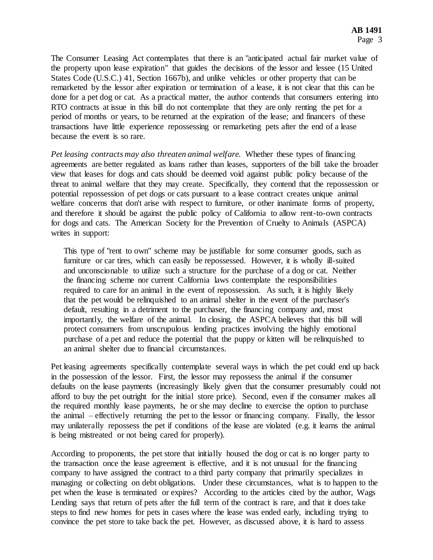The Consumer Leasing Act contemplates that there is an "anticipated actual fair market value of the property upon lease expiration" that guides the decisions of the lessor and lessee (15 United States Code (U.S.C.) 41, Section 1667b), and unlike vehicles or other property that can be remarketed by the lessor after expiration or termination of a lease, it is not clear that this can be done for a pet dog or cat. As a practical matter, the author contends that consumers entering into RTO contracts at issue in this bill do not contemplate that they are only renting the pet for a period of months or years, to be returned at the expiration of the lease; and financers of these transactions have little experience repossessing or remarketing pets after the end of a lease because the event is so rare.

*Pet leasing contracts may also threaten animal welfare.* Whether these types of financing agreements are better regulated as loans rather than leases, supporters of the bill take the broader view that leases for dogs and cats should be deemed void against public policy because of the threat to animal welfare that they may create. Specifically, they contend that the repossession or potential repossession of pet dogs or cats pursuant to a lease contract creates unique animal welfare concerns that don't arise with respect to furniture, or other inanimate forms of property, and therefore it should be against the public policy of California to allow rent-to-own contracts for dogs and cats. The American Society for the Prevention of Cruelty to Animals (ASPCA) writes in support:

This type of "rent to own" scheme may be justifiable for some consumer goods, such as furniture or car tires, which can easily be repossessed. However, it is wholly ill-suited and unconscionable to utilize such a structure for the purchase of a dog or cat. Neither the financing scheme nor current California laws contemplate the responsibilities required to care for an animal in the event of repossession. As such, it is highly likely that the pet would be relinquished to an animal shelter in the event of the purchaser's default, resulting in a detriment to the purchaser, the financing company and, most importantly, the welfare of the animal. In closing, the ASPCA believes that this bill will protect consumers from unscrupulous lending practices involving the highly emotional purchase of a pet and reduce the potential that the puppy or kitten will be relinquished to an animal shelter due to financial circumstances.

Pet leasing agreements specifically contemplate several ways in which the pet could end up back in the possession of the lessor. First, the lessor may repossess the animal if the consumer defaults on the lease payments (increasingly likely given that the consumer presumably could not afford to buy the pet outright for the initial store price). Second, even if the consumer makes all the required monthly lease payments, he or she may decline to exercise the option to purchase the animal – effectively returning the pet to the lessor or financing company. Finally, the lessor may unilaterally repossess the pet if conditions of the lease are violated (e.g. it learns the animal is being mistreated or not being cared for properly).

According to proponents, the pet store that initially housed the dog or cat is no longer party to the transaction once the lease agreement is effective, and it is not unusual for the financing company to have assigned the contract to a third party company that primarily specializes in managing or collecting on debt obligations. Under these circumstances, what is to happen to the pet when the lease is terminated or expires? According to the articles cited by the author, Wags Lending says that return of pets after the full term of the contract is rare, and that it does take steps to find new homes for pets in cases where the lease was ended early, including trying to convince the pet store to take back the pet. However, as discussed above, it is hard to assess